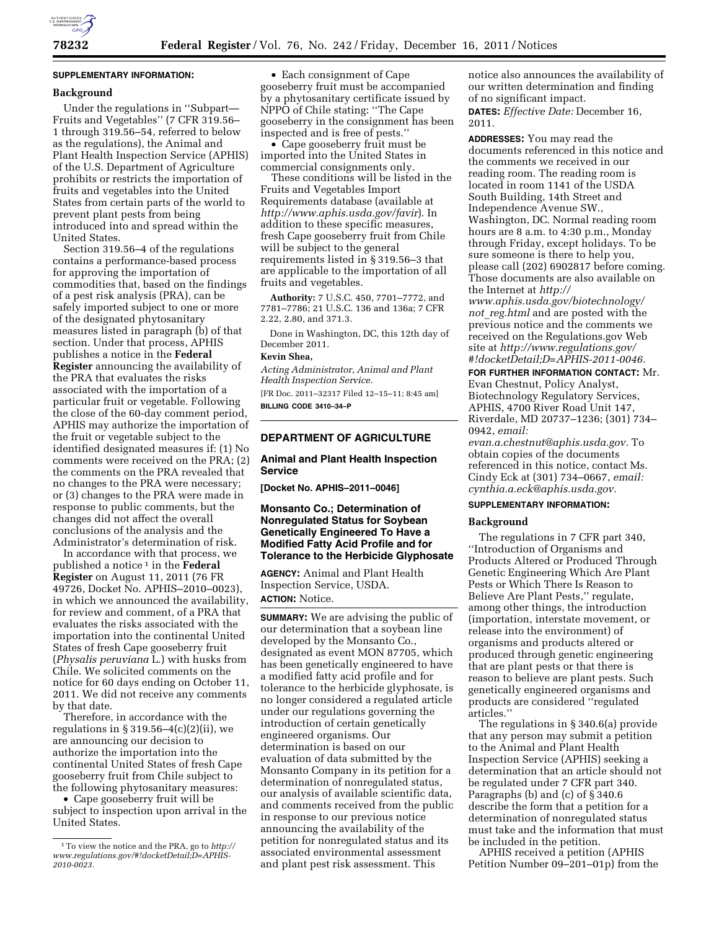

# **SUPPLEMENTARY INFORMATION:**

#### **Background**

Under the regulations in ''Subpart— Fruits and Vegetables'' (7 CFR 319.56– 1 through 319.56–54, referred to below as the regulations), the Animal and Plant Health Inspection Service (APHIS) of the U.S. Department of Agriculture prohibits or restricts the importation of fruits and vegetables into the United States from certain parts of the world to prevent plant pests from being introduced into and spread within the United States.

Section 319.56–4 of the regulations contains a performance-based process for approving the importation of commodities that, based on the findings of a pest risk analysis (PRA), can be safely imported subject to one or more of the designated phytosanitary measures listed in paragraph (b) of that section. Under that process, APHIS publishes a notice in the **Federal Register** announcing the availability of the PRA that evaluates the risks associated with the importation of a particular fruit or vegetable. Following the close of the 60-day comment period, APHIS may authorize the importation of the fruit or vegetable subject to the identified designated measures if: (1) No comments were received on the PRA; (2) the comments on the PRA revealed that no changes to the PRA were necessary; or (3) changes to the PRA were made in response to public comments, but the changes did not affect the overall conclusions of the analysis and the Administrator's determination of risk.

In accordance with that process, we published a notice 1 in the **Federal Register** on August 11, 2011 (76 FR 49726, Docket No. APHIS–2010–0023), in which we announced the availability, for review and comment, of a PRA that evaluates the risks associated with the importation into the continental United States of fresh Cape gooseberry fruit (*Physalis peruviana* L.) with husks from Chile. We solicited comments on the notice for 60 days ending on October 11, 2011. We did not receive any comments by that date.

Therefore, in accordance with the regulations in  $\S 319.56 - 4(c)(2)(ii)$ , we are announcing our decision to authorize the importation into the continental United States of fresh Cape gooseberry fruit from Chile subject to the following phytosanitary measures:

• Cape gooseberry fruit will be subject to inspection upon arrival in the United States.

• Each consignment of Cape gooseberry fruit must be accompanied by a phytosanitary certificate issued by NPPO of Chile stating: ''The Cape gooseberry in the consignment has been inspected and is free of pests.''

• Cape gooseberry fruit must be imported into the United States in commercial consignments only.

These conditions will be listed in the Fruits and Vegetables Import Requirements database (available at *<http://www.aphis.usda.gov/favir>*). In addition to these specific measures, fresh Cape gooseberry fruit from Chile will be subject to the general requirements listed in § 319.56–3 that are applicable to the importation of all fruits and vegetables.

**Authority:** 7 U.S.C. 450, 7701–7772, and 7781–7786; 21 U.S.C. 136 and 136a; 7 CFR 2.22, 2.80, and 371.3.

Done in Washington, DC, this 12th day of December 2011.

### **Kevin Shea,**

*Acting Administrator, Animal and Plant Health Inspection Service.*  [FR Doc. 2011–32317 Filed 12–15–11; 8:45 am] **BILLING CODE 3410–34–P** 

# **DEPARTMENT OF AGRICULTURE**

#### **Animal and Plant Health Inspection Service**

**[Docket No. APHIS–2011–0046]** 

# **Monsanto Co.; Determination of Nonregulated Status for Soybean Genetically Engineered To Have a Modified Fatty Acid Profile and for Tolerance to the Herbicide Glyphosate**

**AGENCY:** Animal and Plant Health Inspection Service, USDA. **ACTION:** Notice.

**SUMMARY:** We are advising the public of our determination that a soybean line developed by the Monsanto Co., designated as event MON 87705, which has been genetically engineered to have a modified fatty acid profile and for tolerance to the herbicide glyphosate, is no longer considered a regulated article under our regulations governing the introduction of certain genetically engineered organisms. Our determination is based on our evaluation of data submitted by the Monsanto Company in its petition for a determination of nonregulated status, our analysis of available scientific data, and comments received from the public in response to our previous notice announcing the availability of the petition for nonregulated status and its associated environmental assessment and plant pest risk assessment. This

notice also announces the availability of our written determination and finding of no significant impact. **DATES:** *Effective Date:* December 16,

2011.

**ADDRESSES:** You may read the documents referenced in this notice and the comments we received in our reading room. The reading room is located in room 1141 of the USDA South Building, 14th Street and Independence Avenue SW., Washington, DC. Normal reading room hours are 8 a.m. to 4:30 p.m., Monday through Friday, except holidays. To be sure someone is there to help you, please call (202) 6902817 before coming. Those documents are also available on the Internet at *[http://](http://www.aphis.usda.gov/biotechnology/not_reg.html)* 

*[www.aphis.usda.gov/biotechnology/](http://www.aphis.usda.gov/biotechnology/not_reg.html)  not*\_*[reg.html](http://www.aphis.usda.gov/biotechnology/not_reg.html)* and are posted with the previous notice and the comments we received on the Regulations.gov Web site at *[http://www.regulations.gov/](http://www.regulations.gov/#!docketDetail;D=APHIS-2011-0046)  [#!docketDetail;D=APHIS-2011-0046.](http://www.regulations.gov/#!docketDetail;D=APHIS-2011-0046)* 

**FOR FURTHER INFORMATION CONTACT:** Mr. Evan Chestnut, Policy Analyst, Biotechnology Regulatory Services, APHIS, 4700 River Road Unit 147, Riverdale, MD 20737–1236; (301) 734– 0942, *email:* 

*[evan.a.chestnut@aphis.usda.gov.](mailto:evan.a.chestnut@aphis.usda.gov)* To obtain copies of the documents referenced in this notice, contact Ms. Cindy Eck at (301) 734–0667, *email: [cynthia.a.eck@aphis.usda.gov.](mailto:cynthia.a.eck@aphis.usda.gov)* 

## **SUPPLEMENTARY INFORMATION:**

#### **Background**

The regulations in 7 CFR part 340, ''Introduction of Organisms and Products Altered or Produced Through Genetic Engineering Which Are Plant Pests or Which There Is Reason to Believe Are Plant Pests,'' regulate, among other things, the introduction (importation, interstate movement, or release into the environment) of organisms and products altered or produced through genetic engineering that are plant pests or that there is reason to believe are plant pests. Such genetically engineered organisms and products are considered ''regulated articles.''

The regulations in § 340.6(a) provide that any person may submit a petition to the Animal and Plant Health Inspection Service (APHIS) seeking a determination that an article should not be regulated under 7 CFR part 340. Paragraphs (b) and (c) of § 340.6 describe the form that a petition for a determination of nonregulated status must take and the information that must be included in the petition.

APHIS received a petition (APHIS Petition Number 09–201–01p) from the

<sup>1</sup>To view the notice and the PRA, go to *[http://](http://www.regulations.gov/#!docketDetail;D=APHIS-2010-0023) [www.regulations.gov/#!docketDetail;D=APHIS-](http://www.regulations.gov/#!docketDetail;D=APHIS-2010-0023)[2010-0023.](http://www.regulations.gov/#!docketDetail;D=APHIS-2010-0023)*